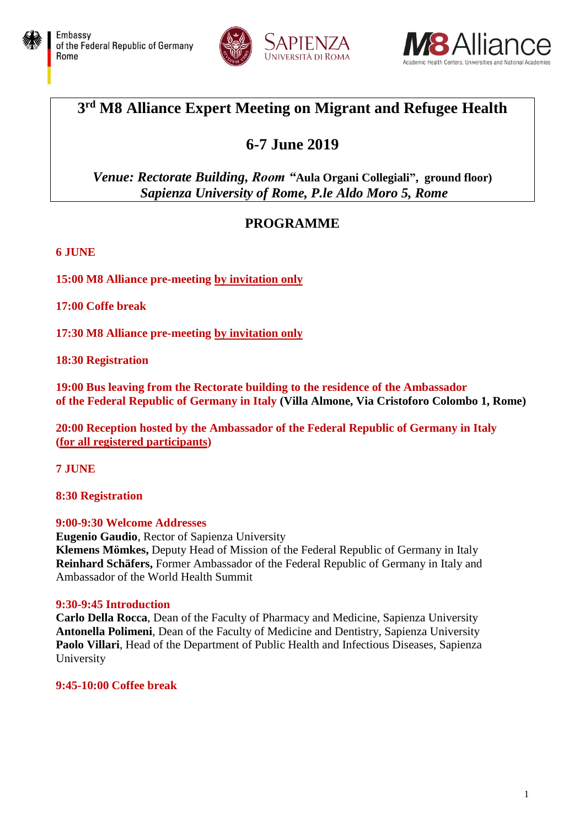





## **3 rd M8 Alliance Expert Meeting on Migrant and Refugee Health**

# **6-7 June 2019**

### *Venue: Rectorate Building, Room "***Aula Organi Collegiali", ground floor)** *Sapienza University of Rome, P.le Aldo Moro 5, Rome*

### **PROGRAMME**

#### **6 JUNE**

**15:00 M8 Alliance pre-meeting by invitation only**

**17:00 Coffe break**

**17:30 M8 Alliance pre-meeting by invitation only**

**18:30 Registration**

**19:00 Bus leaving from the Rectorate building to the residence of the Ambassador of the Federal Republic of Germany in Italy (Villa Almone, Via Cristoforo Colombo 1, Rome)**

**20:00 Reception hosted by the Ambassador of the Federal Republic of Germany in Italy (for all registered participants)**

**7 JUNE**

**8:30 Registration**

#### **9:00-9:30 Welcome Addresses**

**Eugenio Gaudio**, Rector of Sapienza University **Klemens Mömkes,** Deputy Head of Mission of the Federal Republic of Germany in Italy **Reinhard Schäfers,** Former Ambassador of the Federal Republic of Germany in Italy and Ambassador of the World Health Summit

#### **9:30-9:45 Introduction**

**Carlo Della Rocca**, Dean of the Faculty of Pharmacy and Medicine, Sapienza University **Antonella Polimeni**, Dean of the Faculty of Medicine and Dentistry, Sapienza University **Paolo Villari**, Head of the Department of Public Health and Infectious Diseases, Sapienza University

**9:45-10:00 Coffee break**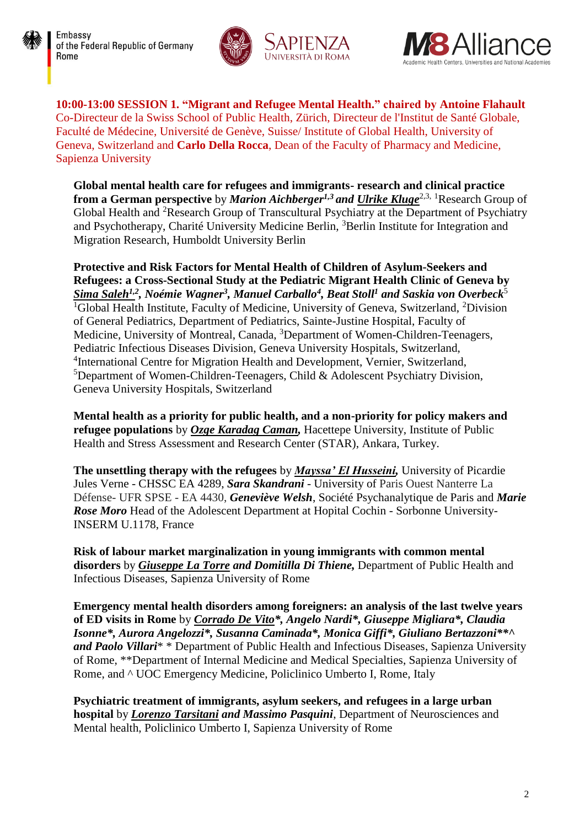





**10:00-13:00 SESSION 1. "Migrant and Refugee Mental Health." chaired by Antoine Flahault**  Co-Directeur de la Swiss School of Public Health, Zürich, Directeur de l'Institut de Santé Globale, Faculté de Médecine, Université de Genève, Suisse/ Institute of Global Health, University of Geneva, Switzerland and **Carlo Della Rocca**, Dean of the Faculty of Pharmacy and Medicine, Sapienza University

**Global mental health care for refugees and immigrants- research and clinical practice from a German perspective** by *Marion Aichberger<sup>1,3</sup> and Ulrike Kluge*<sup>2,3, 1</sup>Research Group of Global Health and <sup>2</sup>Research Group of Transcultural Psychiatry at the Department of Psychiatry and Psychotherapy, Charité University Medicine Berlin, <sup>3</sup>Berlin Institute for Integration and Migration Research, Humboldt University Berlin

**Protective and Risk Factors for Mental Health of Children of Asylum-Seekers and Refugees: a Cross-Sectional Study at the Pediatric Migrant Health Clinic of Geneva by**  *Sima Saleh1,2 , Noémie Wagner<sup>3</sup> , Manuel Carballo<sup>4</sup> , Beat Stoll<sup>1</sup> and Saskia von Overbeck*<sup>5</sup> <sup>1</sup>Global Health Institute, Faculty of Medicine, University of Geneva, Switzerland, <sup>2</sup>Division of General Pediatrics, Department of Pediatrics, Sainte-Justine Hospital, Faculty of Medicine, University of Montreal, Canada, <sup>3</sup>Department of Women-Children-Teenagers, Pediatric Infectious Diseases Division, Geneva University Hospitals, Switzerland, <sup>4</sup>International Centre for Migration Health and Development, Vernier, Switzerland, <sup>5</sup>Department of Women-Children-Teenagers, Child & Adolescent Psychiatry Division, Geneva University Hospitals, Switzerland

**Mental health as a priority for public health, and a non-priority for policy makers and refugee populations** by *Ozge Karadag Caman,* Hacettepe University, Institute of Public Health and Stress Assessment and Research Center (STAR), Ankara, Turkey.

**The unsettling therapy with the refugees** by *Mayssa' El Husseini,* University of Picardie Jules Verne - CHSSC EA 4289, *Sara Skandrani* - University of Paris Ouest Nanterre La Défense- UFR SPSE - EA 4430, *Geneviève Welsh*, Société Psychanalytique de Paris and *Marie Rose Moro* Head of the Adolescent Department at Hopital Cochin - Sorbonne University-INSERM U.1178, France

**Risk of labour market marginalization in young immigrants with common mental disorders** by *Giuseppe La Torre and Domitilla Di Thiene,* Department of Public Health and Infectious Diseases, Sapienza University of Rome

**Emergency mental health disorders among foreigners: an analysis of the last twelve years of ED visits in Rome** by *Corrado De Vito\*, Angelo Nardi\*, Giuseppe Migliara\*, Claudia Isonne\*, Aurora Angelozzi\*, Susanna Caminada\*, Monica Giffi\*, Giuliano Bertazzoni\*\*^ and Paolo Villari*\* \* Department of Public Health and Infectious Diseases, Sapienza University of Rome, \*\*Department of Internal Medicine and Medical Specialties, Sapienza University of Rome, and ^ UOC Emergency Medicine, Policlinico Umberto I, Rome, Italy

**Psychiatric treatment of immigrants, asylum seekers, and refugees in a large urban hospital** by *Lorenzo Tarsitani and Massimo Pasquini*, Department of Neurosciences and Mental health, Policlinico Umberto I, Sapienza University of Rome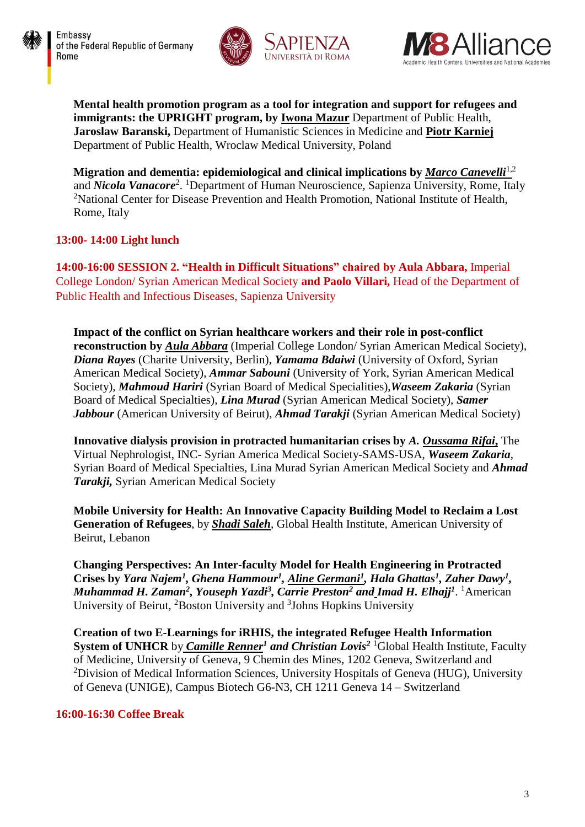





**Mental health promotion program as a tool for integration and support for refugees and immigrants: the UPRIGHT program, by Iwona Mazur** Department of Public Health, **Jaroslaw Baranski,** Department of Humanistic Sciences in Medicine and **Piotr Karniej** Department of Public Health, Wroclaw Medical University, Poland

**Migration and dementia: epidemiological and clinical implications by** *Marco Canevelli*1,2 and *Nicola Vanacore*<sup>2</sup>. <sup>1</sup>Department of Human Neuroscience, Sapienza University, Rome, Italy <sup>2</sup>National Center for Disease Prevention and Health Promotion, National Institute of Health, Rome, Italy

#### **13:00- 14:00 Light lunch**

**14:00-16:00 SESSION 2. "Health in Difficult Situations" chaired by Aula Abbara,** Imperial College London/ Syrian American Medical Society **and Paolo Villari,** Head of the Department of Public Health and Infectious Diseases, Sapienza University

**Impact of the conflict on Syrian healthcare workers and their role in post-conflict reconstruction by** *Aula Abbara* (Imperial College London/ Syrian American Medical Society), *Diana Rayes* (Charite University, Berlin), *Yamama Bdaiwi* (University of Oxford, Syrian American Medical Society), *Ammar Sabouni* (University of York, Syrian American Medical Society), *Mahmoud Hariri* (Syrian Board of Medical Specialities),*Waseem Zakaria* (Syrian Board of Medical Specialties), *Lina Murad* (Syrian American Medical Society), *Samer Jabbour* (American University of Beirut), *Ahmad Tarakji* (Syrian American Medical Society)

**Innovative dialysis provision in protracted humanitarian crises by** *A. Oussama Rifai***,** The Virtual Nephrologist, INC- Syrian America Medical Society-SAMS-USA, *Waseem Zakaria*, Syrian Board of Medical Specialties, Lina Murad Syrian American Medical Society and *Ahmad Tarakji,* Syrian American Medical Society

**Mobile University for Health: An Innovative Capacity Building Model to Reclaim a Lost Generation of Refugees**, by *Shadi Saleh*, Global Health Institute, American University of Beirut, Lebanon

**Changing Perspectives: An Inter-faculty Model for Health Engineering in Protracted**  Crises by *Yara Najem<sup>1</sup>*, Ghena Hammour<sup>1</sup>, Aline Germani<sup>1</sup>, Hala Ghattas<sup>1</sup>, Zaher Dawy<sup>1</sup>, *Muhammad H. Zaman<sup>2</sup> , Youseph Yazdi<sup>3</sup> , Carrie Preston<sup>2</sup> and Imad H. Elhajj<sup>1</sup>* . <sup>1</sup>American University of Beirut, <sup>2</sup>Boston University and <sup>3</sup>Johns Hopkins University

**Creation of two E-Learnings for iRHIS, the integrated Refugee Health Information System of UNHCR** by *Camille Renner<sup>1</sup> and Christian Lovis<sup>2</sup>* <sup>1</sup>Global Health Institute, Faculty of Medicine, University of Geneva, 9 Chemin des Mines, 1202 Geneva, Switzerland and <sup>2</sup>Division of Medical Information Sciences, University Hospitals of Geneva (HUG), University of Geneva (UNIGE), Campus Biotech G6-N3, CH 1211 Geneva 14 – Switzerland

#### **16:00-16:30 Coffee Break**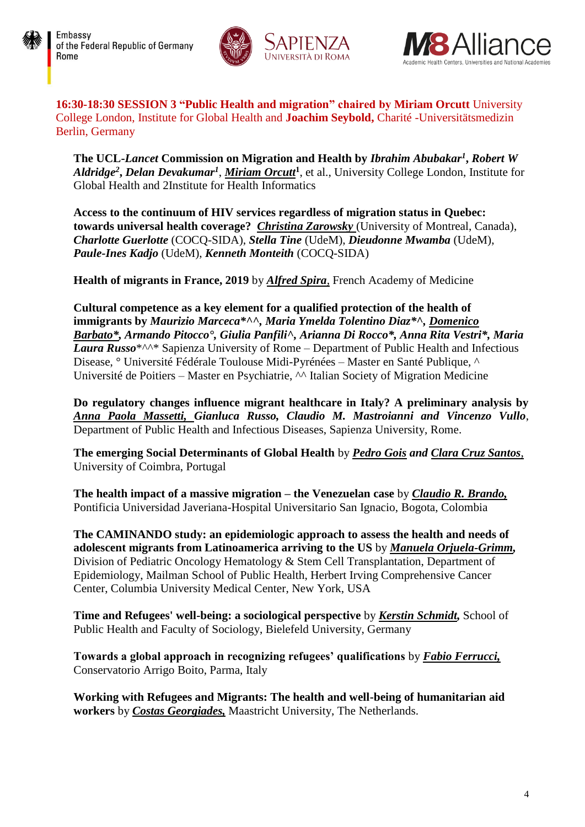





**16:30-18:30 SESSION 3 "Public Health and migration" chaired by Miriam Orcutt** University College London, Institute for Global Health and **Joachim Seybold,** Charité -Universitätsmedizin Berlin, Germany

**The UCL-***Lancet* **Commission on Migration and Health by** *Ibrahim Abubakar<sup>1</sup>* **,** *Robert W Aldridge<sup>2</sup>* **,** *Delan Devakumar<sup>1</sup>* , *Miriam Orcutt***<sup>1</sup>** , et al., University College London, Institute for Global Health and 2Institute for Health Informatics

**Access to the continuum of HIV services regardless of migration status in Quebec: towards universal health coverage?** *Christina Zarowsky* (University of Montreal, Canada), *Charlotte Guerlotte* (COCQ-SIDA), *Stella Tine* (UdeM), *Dieudonne Mwamba* (UdeM), *Paule-Ines Kadjo* (UdeM), *Kenneth Monteith* (COCQ-SIDA)

**Health of migrants in France, 2019** by *Alfred Spira*, French Academy of Medicine

**Cultural competence as a key element for a qualified protection of the health of immigrants by** *Maurizio Marceca\*^^, Maria Ymelda Tolentino Diaz\*^, Domenico Barbato\*, Armando Pitocco°, Giulia Panfili^, Arianna Di Rocco\*, Anna Rita Vestri\*, Maria Laura Russo*\*^^\* Sapienza University of Rome – Department of Public Health and Infectious Disease, ° Université Fédérale Toulouse Midi-Pyrénées – Master en Santé Publique, ^ Université de Poitiers – Master en Psychiatrie, ^^ Italian Society of Migration Medicine

**Do regulatory changes influence migrant healthcare in Italy? A preliminary analysis by** *Anna Paola Massetti, Gianluca Russo, Claudio M. Mastroianni and Vincenzo Vullo*, Department of Public Health and Infectious Diseases, Sapienza University, Rome.

**The emerging Social Determinants of Global Health** by *Pedro Gois and Clara Cruz Santos*, University of Coimbra, Portugal

**The health impact of a massive migration – the Venezuelan case** by *Claudio R. Brando,* Pontificia Universidad Javeriana-Hospital Universitario San Ignacio, Bogota, Colombia

**The CAMINANDO study: an epidemiologic approach to assess the health and needs of adolescent migrants from Latinoamerica arriving to the US** by *Manuela Orjuela-Grimm,* Division of Pediatric Oncology Hematology & Stem Cell Transplantation, Department of Epidemiology, Mailman School of Public Health, Herbert Irving Comprehensive Cancer Center, Columbia University Medical Center, New York, USA

**Time and Refugees' well-being: a sociological perspective** by *Kerstin Schmidt,* School of Public Health and Faculty of Sociology, Bielefeld University, Germany

**Towards a global approach in recognizing refugees' qualifications** by *Fabio Ferrucci,* Conservatorio Arrigo Boito, Parma, Italy

**Working with Refugees and Migrants: The health and well-being of humanitarian aid workers** by *Costas Georgiades,* Maastricht University, The Netherlands.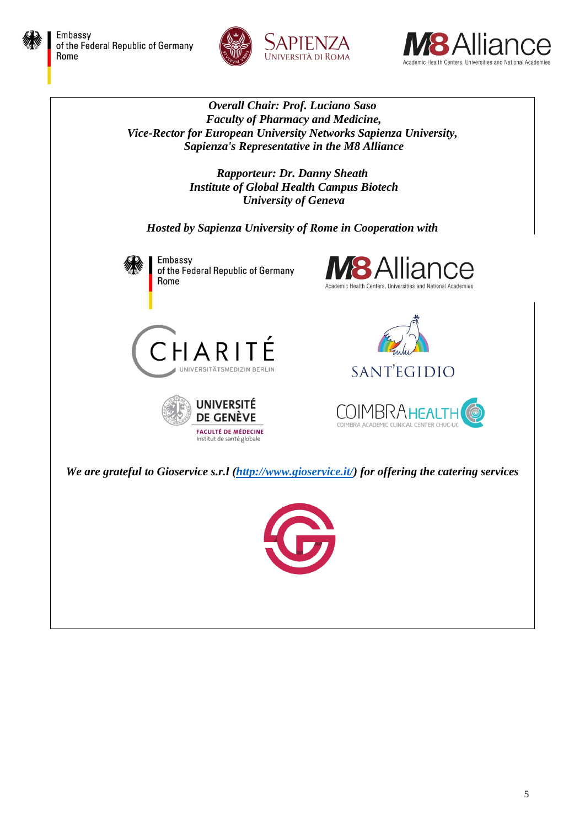